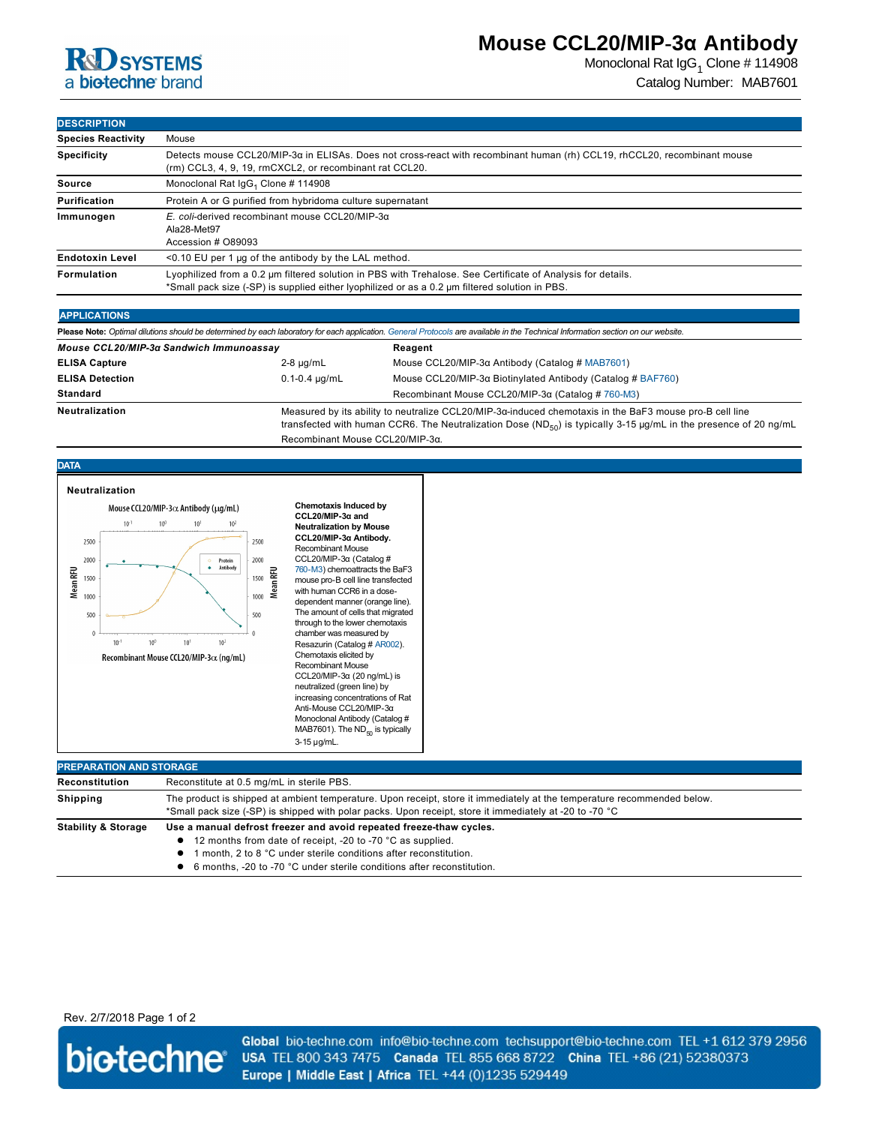# **R&D** SYSTEMS a biotechne brand

# **Mouse CCL20/MIP-3α Antibody**

Monoclonal Rat IgG<sub>1</sub> Clone # 114908 Catalog Number: MAB7601

**DESCRIPTION**

| <b>PLOVINIE HON</b>       |                                                                                                                                                                                                               |
|---------------------------|---------------------------------------------------------------------------------------------------------------------------------------------------------------------------------------------------------------|
| <b>Species Reactivity</b> | Mouse                                                                                                                                                                                                         |
| <b>Specificity</b>        | Detects mouse CCL20/MIP-3a in ELISAs. Does not cross-react with recombinant human (rh) CCL19, rhCCL20, recombinant mouse<br>(rm) CCL3, 4, 9, 19, rmCXCL2, or recombinant rat CCL20.                           |
| Source                    | Monoclonal Rat IgG <sub>1</sub> Clone # 114908                                                                                                                                                                |
| Purification              | Protein A or G purified from hybridoma culture supernatant                                                                                                                                                    |
| Immunogen                 | E. coli-derived recombinant mouse CCL20/MIP-3 $\alpha$<br>Ala28-Met97<br>Accession # 089093                                                                                                                   |
| <b>Endotoxin Level</b>    | $<$ 0.10 EU per 1 µg of the antibody by the LAL method.                                                                                                                                                       |
| Formulation               | Lyophilized from a 0.2 um filtered solution in PBS with Trehalose. See Certificate of Analysis for details.<br>*Small pack size (-SP) is supplied either lyophilized or as a 0.2 µm filtered solution in PBS. |
|                           |                                                                                                                                                                                                               |

### **APPLICATIONS**

|                                         |                      | Please Note: Optimal dilutions should be determined by each laboratory for each application. General Protocols are available in the Technical Information section on our website.                                                       |
|-----------------------------------------|----------------------|-----------------------------------------------------------------------------------------------------------------------------------------------------------------------------------------------------------------------------------------|
| Mouse CCL20/MIP-3a Sandwich Immunoassay |                      | Reagent                                                                                                                                                                                                                                 |
| <b>ELISA Capture</b>                    | $2-8 \mu q/mL$       | Mouse CCL20/MIP-3α Antibody (Catalog # MAB7601)                                                                                                                                                                                         |
| <b>ELISA Detection</b>                  | $0.1 - 0.4 \mu q/mL$ | Mouse CCL20/MIP-3α Biotinylated Antibody (Catalog # BAF760)                                                                                                                                                                             |
| <b>Standard</b>                         |                      | Recombinant Mouse CCL20/MIP-3α (Catalog # 760-M3)                                                                                                                                                                                       |
| <b>Neutralization</b>                   |                      | Measured by its ability to neutralize CCL20/MIP-3α-induced chemotaxis in the BaF3 mouse pro-B cell line<br>transfected with human CCR6. The Neutralization Dose (ND <sub>50</sub> ) is typically 3-15 µg/mL in the presence of 20 ng/mL |

Recombinant Mouse CCL20/MIP-3α.



|--|

Stability & Storage Use a manual defrost freezer and avoid repeated freeze-thaw cycles.

- 12 months from date of receipt, -20 to -70 °C as supplied.
- **1** month, 2 to 8 °C under sterile conditions after reconstitution.
- 6 months, -20 to -70 °C under sterile conditions after reconstitution.

Rev. 2/7/2018 Page 1 of 2



Global bio-techne.com info@bio-techne.com techsupport@bio-techne.com TEL +1 612 379 2956 USA TEL 800 343 7475 Canada TEL 855 668 8722 China TEL +86 (21) 52380373 Europe | Middle East | Africa TEL +44 (0)1235 529449